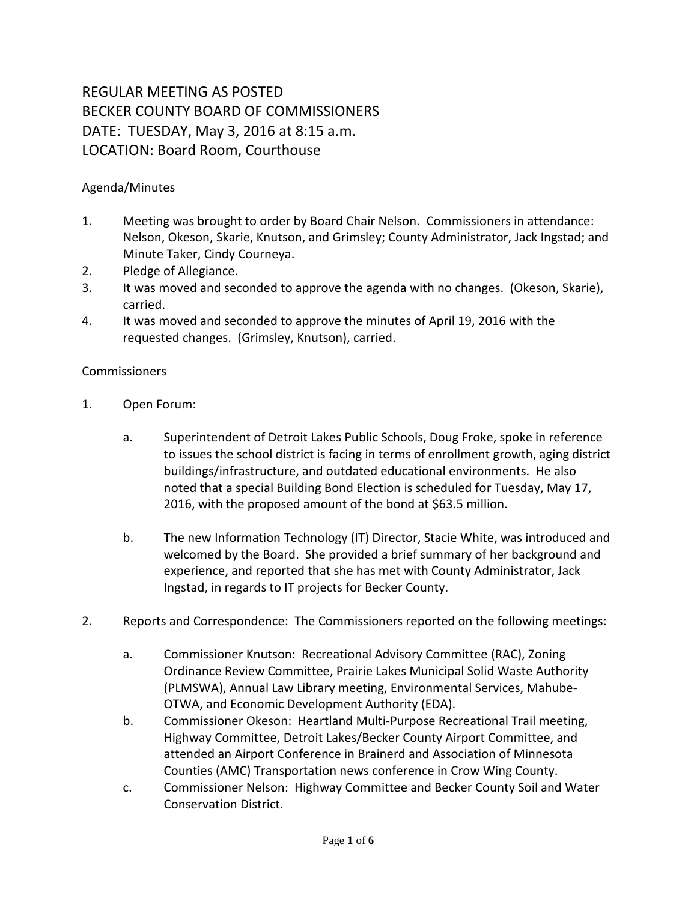## REGULAR MEETING AS POSTED BECKER COUNTY BOARD OF COMMISSIONERS DATE: TUESDAY, May 3, 2016 at 8:15 a.m. LOCATION: Board Room, Courthouse

## Agenda/Minutes

- 1. Meeting was brought to order by Board Chair Nelson. Commissioners in attendance: Nelson, Okeson, Skarie, Knutson, and Grimsley; County Administrator, Jack Ingstad; and Minute Taker, Cindy Courneya.
- 2. Pledge of Allegiance.
- 3. It was moved and seconded to approve the agenda with no changes. (Okeson, Skarie), carried.
- 4. It was moved and seconded to approve the minutes of April 19, 2016 with the requested changes. (Grimsley, Knutson), carried.

## **Commissioners**

- 1. Open Forum:
	- a. Superintendent of Detroit Lakes Public Schools, Doug Froke, spoke in reference to issues the school district is facing in terms of enrollment growth, aging district buildings/infrastructure, and outdated educational environments. He also noted that a special Building Bond Election is scheduled for Tuesday, May 17, 2016, with the proposed amount of the bond at \$63.5 million.
	- b. The new Information Technology (IT) Director, Stacie White, was introduced and welcomed by the Board. She provided a brief summary of her background and experience, and reported that she has met with County Administrator, Jack Ingstad, in regards to IT projects for Becker County.
- 2. Reports and Correspondence: The Commissioners reported on the following meetings:
	- a. Commissioner Knutson: Recreational Advisory Committee (RAC), Zoning Ordinance Review Committee, Prairie Lakes Municipal Solid Waste Authority (PLMSWA), Annual Law Library meeting, Environmental Services, Mahube-OTWA, and Economic Development Authority (EDA).
	- b. Commissioner Okeson: Heartland Multi-Purpose Recreational Trail meeting, Highway Committee, Detroit Lakes/Becker County Airport Committee, and attended an Airport Conference in Brainerd and Association of Minnesota Counties (AMC) Transportation news conference in Crow Wing County.
	- c. Commissioner Nelson: Highway Committee and Becker County Soil and Water Conservation District.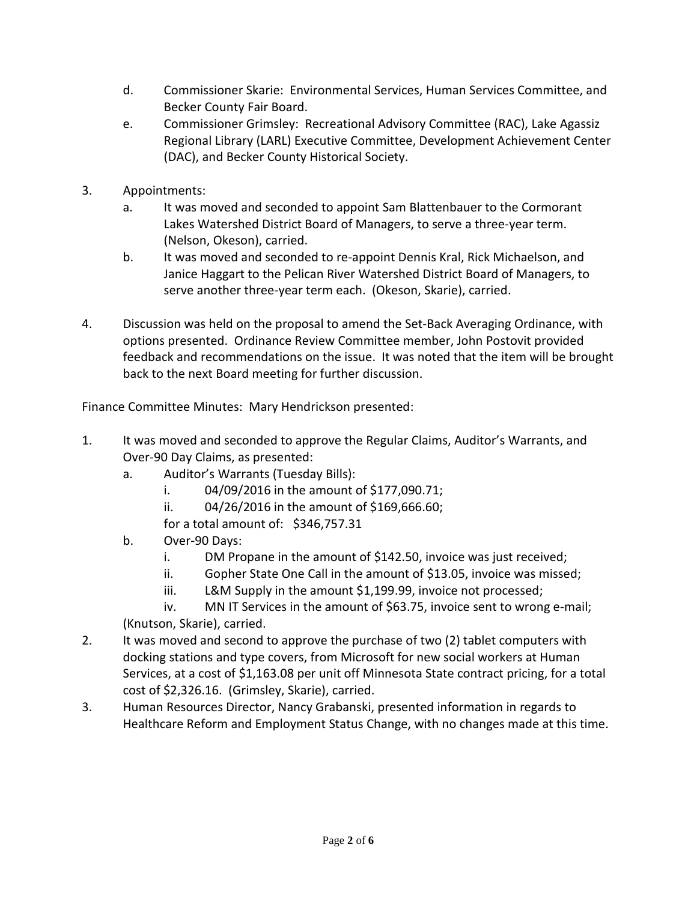- d. Commissioner Skarie: Environmental Services, Human Services Committee, and Becker County Fair Board.
- e. Commissioner Grimsley: Recreational Advisory Committee (RAC), Lake Agassiz Regional Library (LARL) Executive Committee, Development Achievement Center (DAC), and Becker County Historical Society.
- 3. Appointments:
	- a. It was moved and seconded to appoint Sam Blattenbauer to the Cormorant Lakes Watershed District Board of Managers, to serve a three-year term. (Nelson, Okeson), carried.
	- b. It was moved and seconded to re-appoint Dennis Kral, Rick Michaelson, and Janice Haggart to the Pelican River Watershed District Board of Managers, to serve another three-year term each. (Okeson, Skarie), carried.
- 4. Discussion was held on the proposal to amend the Set-Back Averaging Ordinance, with options presented. Ordinance Review Committee member, John Postovit provided feedback and recommendations on the issue. It was noted that the item will be brought back to the next Board meeting for further discussion.

Finance Committee Minutes: Mary Hendrickson presented:

- 1. It was moved and seconded to approve the Regular Claims, Auditor's Warrants, and Over-90 Day Claims, as presented:
	- a. Auditor's Warrants (Tuesday Bills):
		- i. 04/09/2016 in the amount of \$177,090.71;
		- ii. 04/26/2016 in the amount of \$169,666.60;
		- for a total amount of: \$346,757.31
	- b. Over-90 Days:
		- i. DM Propane in the amount of \$142.50, invoice was just received;
		- ii. Gopher State One Call in the amount of \$13.05, invoice was missed;
		- iii. L&M Supply in the amount \$1,199.99, invoice not processed;

- 2. It was moved and second to approve the purchase of two (2) tablet computers with docking stations and type covers, from Microsoft for new social workers at Human Services, at a cost of \$1,163.08 per unit off Minnesota State contract pricing, for a total cost of \$2,326.16. (Grimsley, Skarie), carried.
- 3. Human Resources Director, Nancy Grabanski, presented information in regards to Healthcare Reform and Employment Status Change, with no changes made at this time.

iv. MN IT Services in the amount of \$63.75, invoice sent to wrong e-mail; (Knutson, Skarie), carried.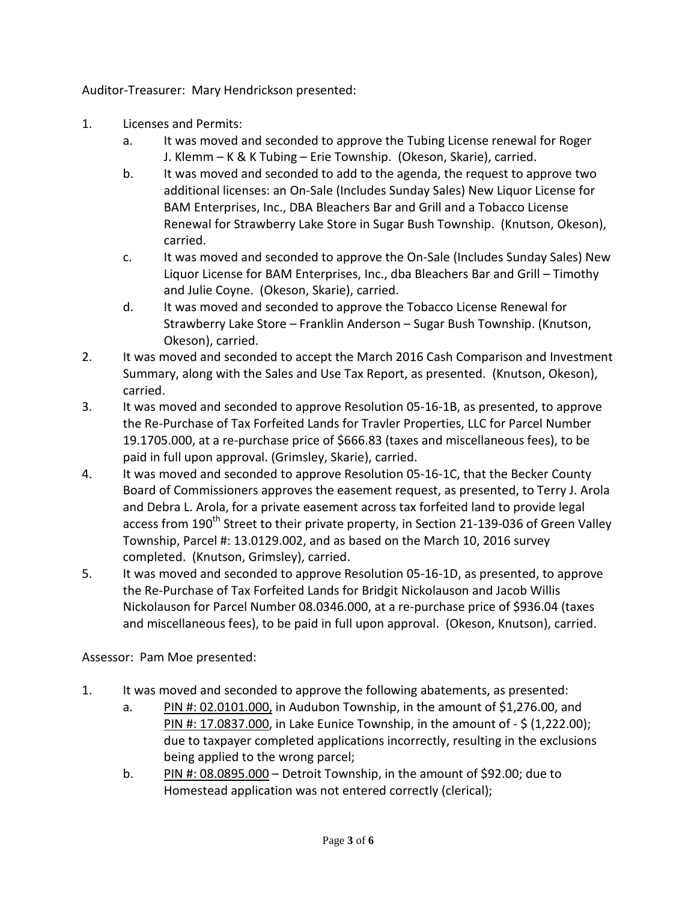Auditor-Treasurer: Mary Hendrickson presented:

- 1. Licenses and Permits:
	- a. It was moved and seconded to approve the Tubing License renewal for Roger J. Klemm – K & K Tubing – Erie Township. (Okeson, Skarie), carried.
	- b. It was moved and seconded to add to the agenda, the request to approve two additional licenses: an On-Sale (Includes Sunday Sales) New Liquor License for BAM Enterprises, Inc., DBA Bleachers Bar and Grill and a Tobacco License Renewal for Strawberry Lake Store in Sugar Bush Township. (Knutson, Okeson), carried.
	- c. It was moved and seconded to approve the On-Sale (Includes Sunday Sales) New Liquor License for BAM Enterprises, Inc., dba Bleachers Bar and Grill – Timothy and Julie Coyne. (Okeson, Skarie), carried.
	- d. It was moved and seconded to approve the Tobacco License Renewal for Strawberry Lake Store – Franklin Anderson – Sugar Bush Township. (Knutson, Okeson), carried.
- 2. It was moved and seconded to accept the March 2016 Cash Comparison and Investment Summary, along with the Sales and Use Tax Report, as presented. (Knutson, Okeson), carried.
- 3. It was moved and seconded to approve Resolution 05-16-1B, as presented, to approve the Re-Purchase of Tax Forfeited Lands for Travler Properties, LLC for Parcel Number 19.1705.000, at a re-purchase price of \$666.83 (taxes and miscellaneous fees), to be paid in full upon approval. (Grimsley, Skarie), carried.
- 4. It was moved and seconded to approve Resolution 05-16-1C, that the Becker County Board of Commissioners approves the easement request, as presented, to Terry J. Arola and Debra L. Arola, for a private easement across tax forfeited land to provide legal access from 190<sup>th</sup> Street to their private property, in Section 21-139-036 of Green Valley Township, Parcel #: 13.0129.002, and as based on the March 10, 2016 survey completed. (Knutson, Grimsley), carried.
- 5. It was moved and seconded to approve Resolution 05-16-1D, as presented, to approve the Re-Purchase of Tax Forfeited Lands for Bridgit Nickolauson and Jacob Willis Nickolauson for Parcel Number 08.0346.000, at a re-purchase price of \$936.04 (taxes and miscellaneous fees), to be paid in full upon approval. (Okeson, Knutson), carried.

Assessor: Pam Moe presented:

- 1. It was moved and seconded to approve the following abatements, as presented:
	- a. PIN #:  $02.0101.000$ , in Audubon Township, in the amount of \$1,276.00, and PIN #: 17.0837.000, in Lake Eunice Township, in the amount of - \$ (1,222.00); due to taxpayer completed applications incorrectly, resulting in the exclusions being applied to the wrong parcel;
	- b. PIN #:  $08.0895.000$  Detroit Township, in the amount of \$92.00; due to Homestead application was not entered correctly (clerical);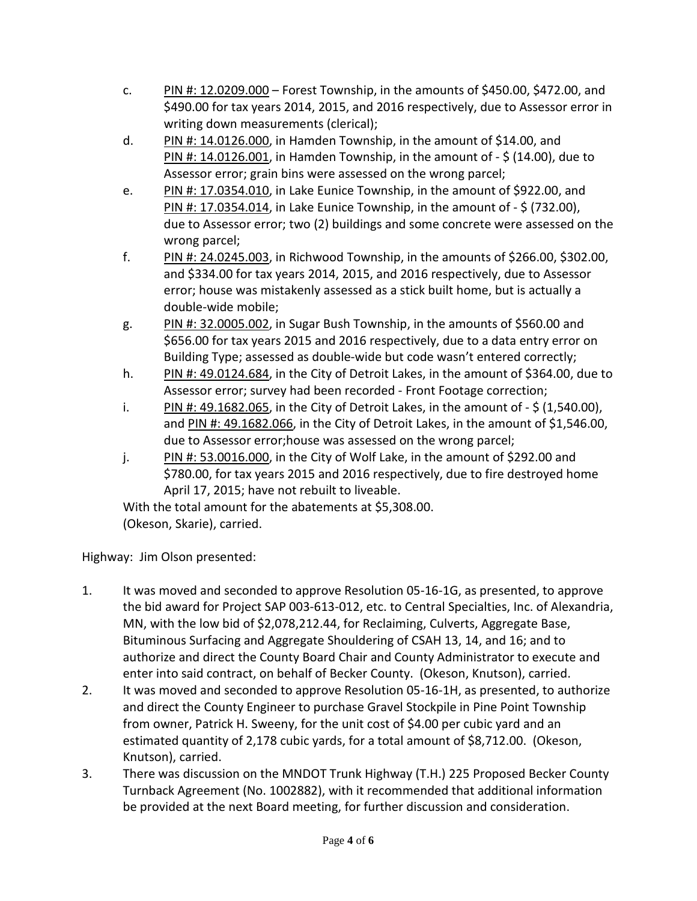- c. PIN #: 12.0209.000 Forest Township, in the amounts of \$450.00, \$472.00, and \$490.00 for tax years 2014, 2015, and 2016 respectively, due to Assessor error in writing down measurements (clerical);
- d. PIN #: 14.0126.000, in Hamden Township, in the amount of \$14.00, and PIN #: 14.0126.001, in Hamden Township, in the amount of - \$ (14.00), due to Assessor error; grain bins were assessed on the wrong parcel;
- e. PIN #: 17.0354.010, in Lake Eunice Township, in the amount of \$922.00, and PIN #: 17.0354.014, in Lake Eunice Township, in the amount of - \$ (732.00), due to Assessor error; two (2) buildings and some concrete were assessed on the wrong parcel;
- f. PIN #: 24.0245.003, in Richwood Township, in the amounts of \$266.00, \$302.00, and \$334.00 for tax years 2014, 2015, and 2016 respectively, due to Assessor error; house was mistakenly assessed as a stick built home, but is actually a double-wide mobile;
- g. PIN  $\#$ : 32.0005.002, in Sugar Bush Township, in the amounts of \$560.00 and \$656.00 for tax years 2015 and 2016 respectively, due to a data entry error on Building Type; assessed as double-wide but code wasn't entered correctly;
- h. PIN #: 49.0124.684, in the City of Detroit Lakes, in the amount of \$364.00, due to Assessor error; survey had been recorded - Front Footage correction;
- i. PIN #: 49.1682.065, in the City of Detroit Lakes, in the amount of  $-$  \$ (1,540.00), and PIN #: 49.1682.066, in the City of Detroit Lakes, in the amount of \$1,546.00, due to Assessor error;house was assessed on the wrong parcel;
- j. PIN #:  $53.0016.000$ , in the City of Wolf Lake, in the amount of \$292.00 and \$780.00, for tax years 2015 and 2016 respectively, due to fire destroyed home April 17, 2015; have not rebuilt to liveable.

With the total amount for the abatements at \$5,308.00. (Okeson, Skarie), carried.

Highway: Jim Olson presented:

- 1. It was moved and seconded to approve Resolution 05-16-1G, as presented, to approve the bid award for Project SAP 003-613-012, etc. to Central Specialties, Inc. of Alexandria, MN, with the low bid of \$2,078,212.44, for Reclaiming, Culverts, Aggregate Base, Bituminous Surfacing and Aggregate Shouldering of CSAH 13, 14, and 16; and to authorize and direct the County Board Chair and County Administrator to execute and enter into said contract, on behalf of Becker County. (Okeson, Knutson), carried.
- 2. It was moved and seconded to approve Resolution 05-16-1H, as presented, to authorize and direct the County Engineer to purchase Gravel Stockpile in Pine Point Township from owner, Patrick H. Sweeny, for the unit cost of \$4.00 per cubic yard and an estimated quantity of 2,178 cubic yards, for a total amount of \$8,712.00. (Okeson, Knutson), carried.
- 3. There was discussion on the MNDOT Trunk Highway (T.H.) 225 Proposed Becker County Turnback Agreement (No. 1002882), with it recommended that additional information be provided at the next Board meeting, for further discussion and consideration.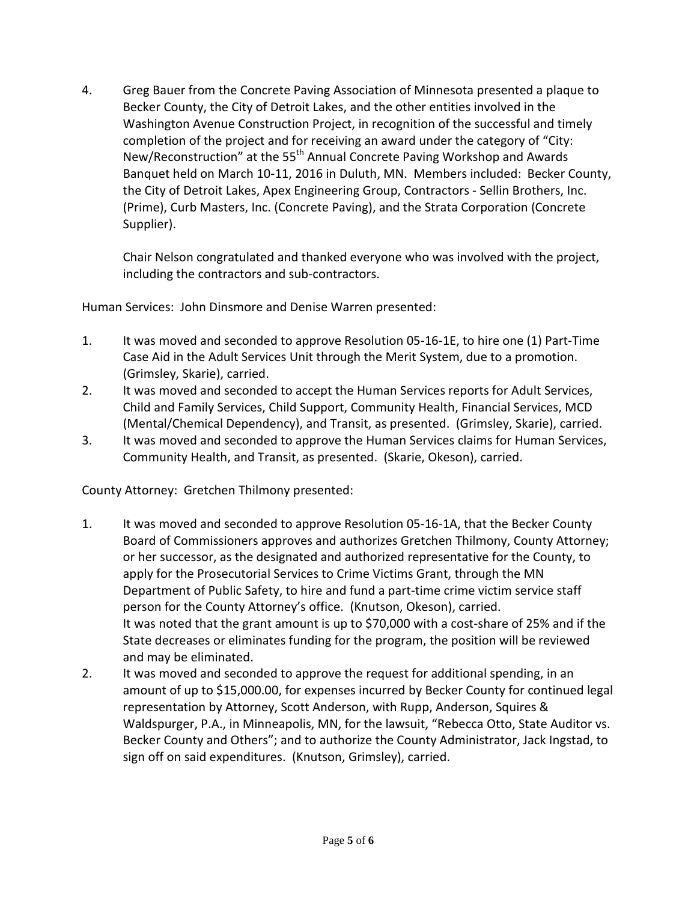4. Greg Bauer from the Concrete Paving Association of Minnesota presented a plaque to Becker County, the City of Detroit Lakes, and the other entities involved in the Washington Avenue Construction Project, in recognition of the successful and timely completion of the project and for receiving an award under the category of "City: New/Reconstruction" at the 55<sup>th</sup> Annual Concrete Paving Workshop and Awards Banquet held on March 10-11, 2016 in Duluth, MN. Members included: Becker County, the City of Detroit Lakes, Apex Engineering Group, Contractors - Sellin Brothers, Inc. (Prime), Curb Masters, Inc. (Concrete Paving), and the Strata Corporation (Concrete Supplier).

Chair Nelson congratulated and thanked everyone who was involved with the project, including the contractors and sub-contractors.

Human Services: John Dinsmore and Denise Warren presented:

- 1. It was moved and seconded to approve Resolution 05-16-1E, to hire one (1) Part-Time Case Aid in the Adult Services Unit through the Merit System, due to a promotion. (Grimsley, Skarie), carried.
- 2. It was moved and seconded to accept the Human Services reports for Adult Services, Child and Family Services, Child Support, Community Health, Financial Services, MCD (Mental/Chemical Dependency), and Transit, as presented. (Grimsley, Skarie), carried.
- 3. It was moved and seconded to approve the Human Services claims for Human Services, Community Health, and Transit, as presented. (Skarie, Okeson), carried.

County Attorney: Gretchen Thilmony presented:

- 1. It was moved and seconded to approve Resolution 05-16-1A, that the Becker County Board of Commissioners approves and authorizes Gretchen Thilmony, County Attorney; or her successor, as the designated and authorized representative for the County, to apply for the Prosecutorial Services to Crime Victims Grant, through the MN Department of Public Safety, to hire and fund a part-time crime victim service staff person for the County Attorney's office. (Knutson, Okeson), carried. It was noted that the grant amount is up to \$70,000 with a cost-share of 25% and if the State decreases or eliminates funding for the program, the position will be reviewed and may be eliminated.
- 2. It was moved and seconded to approve the request for additional spending, in an amount of up to \$15,000.00, for expenses incurred by Becker County for continued legal representation by Attorney, Scott Anderson, with Rupp, Anderson, Squires & Waldspurger, P.A., in Minneapolis, MN, for the lawsuit, "Rebecca Otto, State Auditor vs. Becker County and Others"; and to authorize the County Administrator, Jack Ingstad, to sign off on said expenditures. (Knutson, Grimsley), carried.